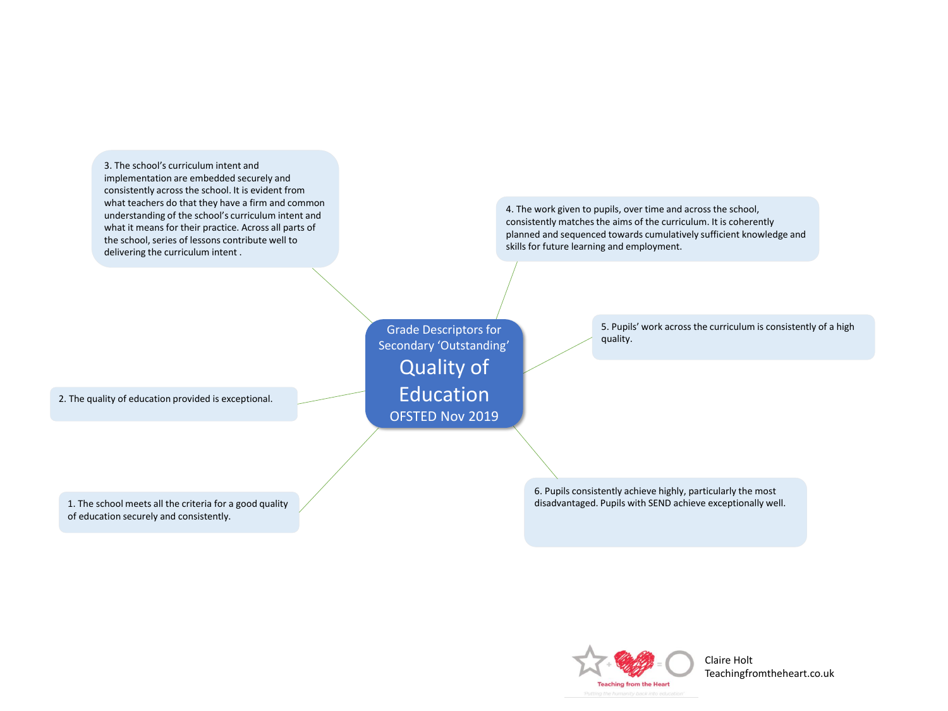3. The school's curriculum intent and implementation are embedded securely and consistently across the school. It is evident from what teachers do that they have a firm and common understanding of the school's curriculum intent and what it means for their practice. Across all parts of the school, series of lessons contribute well to delivering the curriculum intent .

> Grade Descriptors for Secondary 'Outstanding' Quality of Education OFSTED Nov 2019

2. The quality of education provided is exceptional.

1. The school meets all the criteria for a good quality of education securely and consistently.

5. Pupils' work across the curriculum is consistently of a high quality.

6. Pupils consistently achieve highly, particularly the most disadvantaged. Pupils with SEND achieve exceptionally well.

4. The work given to pupils, over time and across the school, consistently matches the aims of the curriculum. It is coherently

skills for future learning and employment.

planned and sequenced towards cumulatively sufficient knowledge and

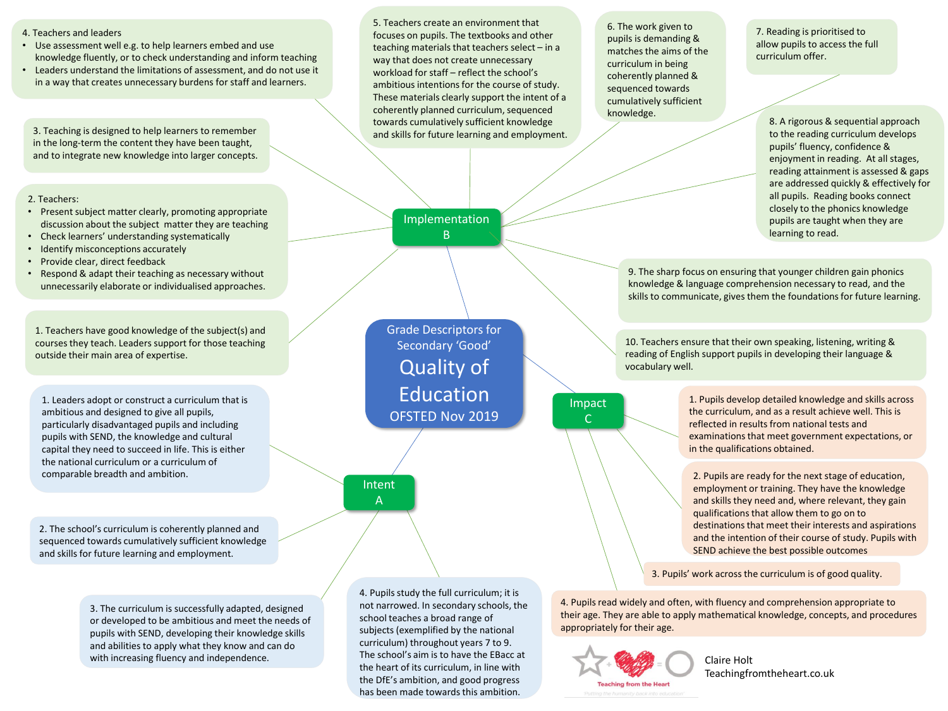## 4. Teachers and leaders

- Use assessment well e.g. to help learners embed and use knowledge fluently, or to check understanding and inform teaching
- Leaders understand the limitations of assessment, and do not use it in a way that creates unnecessary burdens for staff and learners.

3. Teaching is designed to help learners to remember in the long-term the content they have been taught, and to integrate new knowledge into larger concepts.

## 2. Teachers:

- Present subject matter clearly, promoting appropriate discussion about the subject matter they are teaching
- Check learners' understanding systematically
- Identify misconceptions accurately
- Provide clear, direct feedback
- Respond & adapt their teaching as necessary without unnecessarily elaborate or individualised approaches.

1. Teachers have good knowledge of the subject(s) and courses they teach. Leaders support for those teaching outside their main area of expertise.

1. Leaders adopt or construct a curriculum that is ambitious and designed to give all pupils, particularly disadvantaged pupils and including pupils with SEND, the knowledge and cultural capital they need to succeed in life. This is either the national curriculum or a curriculum of comparable breadth and ambition.

2. The school's curriculum is coherently planned and sequenced towards cumulatively sufficient knowledge and skills for future learning and employment.

> 3. The curriculum is successfully adapted, designed or developed to be ambitious and meet the needs of pupils with SEND, developing their knowledge skills and abilities to apply what they know and can do with increasing fluency and independence.

5. Teachers create an environment that focuses on pupils. The textbooks and other teaching materials that teachers select – in a way that does not create unnecessary workload for staff – reflect the school's ambitious intentions for the course of study. These materials clearly support the intent of a coherently planned curriculum, sequenced towards cumulatively sufficient knowledge and skills for future learning and employment.

> Implementation B

Grade Descriptors for Secondary 'Good' Quality of Education OFSTED Nov 2019

## Intent A

4. Pupils study the full curriculum; it is not narrowed. In secondary schools, the school teaches a broad range of subjects (exemplified by the national curriculum) throughout years 7 to 9. The school's aim is to have the EBacc at the heart of its curriculum, in line with the DfE's ambition, and good progress has been made towards this ambition.

6. The work given to pupils is demanding & matches the aims of the curriculum in being coherently planned & sequenced towards cumulatively sufficient knowledge.

7. Reading is prioritised to allow pupils to access the full curriculum offer.

> 8. A rigorous & sequential approach to the reading curriculum develops pupils' fluency, confidence & enjoyment in reading. At all stages, reading attainment is assessed & gaps are addressed quickly & effectively for all pupils. Reading books connect closely to the phonics knowledge pupils are taught when they are learning to read.

9. The sharp focus on ensuring that younger children gain phonics knowledge & language comprehension necessary to read, and the skills to communicate, gives them the foundations for future learning.

10. Teachers ensure that their own speaking, listening, writing & reading of English support pupils in developing their language & vocabulary well.

Impact  $\mathsf{C}$ 

1. Pupils develop detailed knowledge and skills across the curriculum, and as a result achieve well. This is reflected in results from national tests and examinations that meet government expectations, or in the qualifications obtained.

2. Pupils are ready for the next stage of education, employment or training. They have the knowledge and skills they need and, where relevant, they gain qualifications that allow them to go on to destinations that meet their interests and aspirations and the intention of their course of study. Pupils with SEND achieve the best possible outcomes

3. Pupils' work across the curriculum is of good quality.

4. Pupils read widely and often, with fluency and comprehension appropriate to their age. They are able to apply mathematical knowledge, concepts, and procedures appropriately for their age.

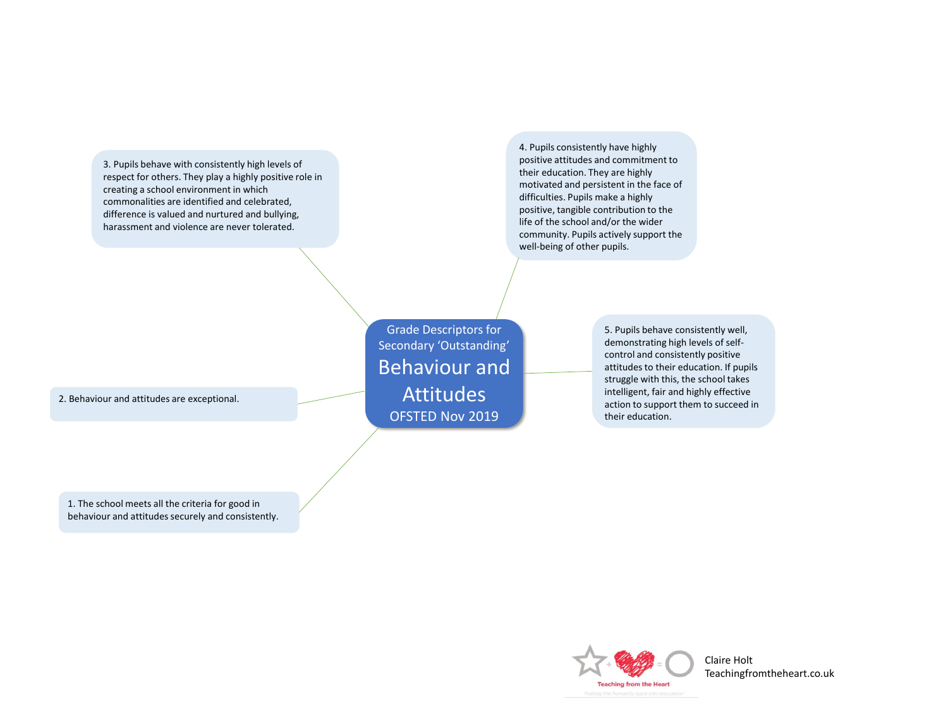3. Pupils behave with consistently high levels of respect for others. They play a highly positive role in creating a school environment in which commonalities are identified and celebrated, difference is valued and nurtured and bullying, harassment and violence are never tolerated.

4. Pupils consistently have highly positive attitudes and commitment to their education. They are highly motivated and persistent in the face of difficulties. Pupils make a highly positive, tangible contribution to the life of the school and/or the wider community. Pupils actively support the well-being of other pupils.

Grade Descriptors for Secondary 'Outstanding' Behaviour and Attitudes OFSTED Nov 2019

5. Pupils behave consistently well, demonstrating high levels of selfcontrol and consistently positive attitudes to their education. If pupils struggle with this, the school takes intelligent, fair and highly effective action to support them to succeed in their education.

2. Behaviour and attitudes are exceptional.

1. The school meets all the criteria for good in behaviour and attitudes securely and consistently.

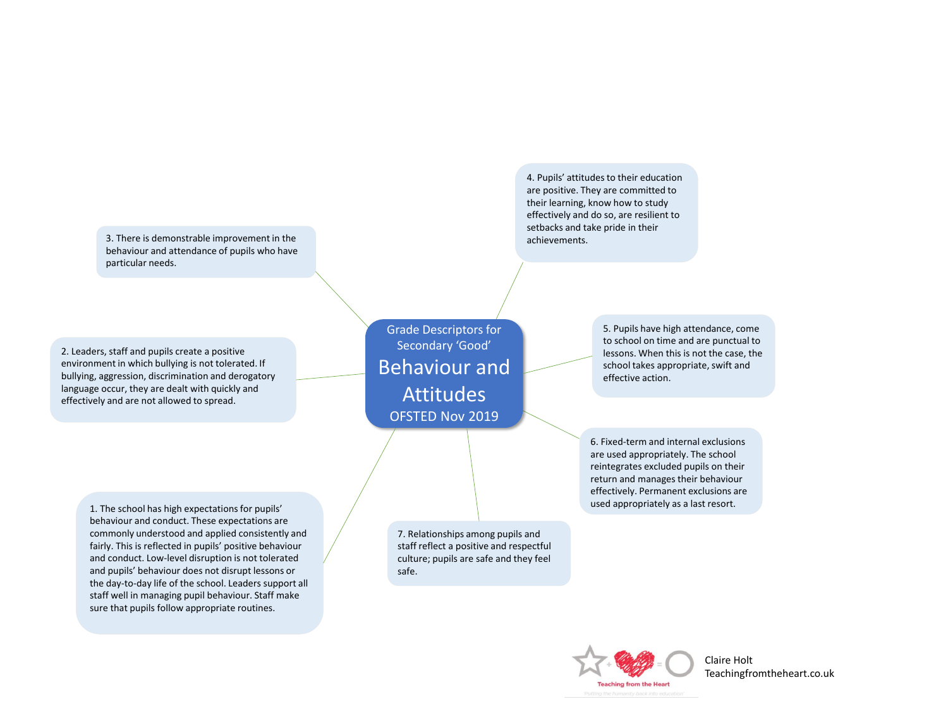3. There is demonstrable improvement in the behaviour and attendance of pupils who have particular needs.

2. Leaders, staff and pupils create a positive environment in which bullying is not tolerated. If bullying, aggression, discrimination and derogatory language occur, they are dealt with quickly and effectively and are not allowed to spread.

Grade Descriptors for Secondary 'Good' Behaviour and Attitudes OFSTED Nov 2019

1. The school has high expectations for pupils' behaviour and conduct. These expectations are commonly understood and applied consistently and fairly. This is reflected in pupils' positive behaviour and conduct. Low-level disruption is not tolerated and pupils' behaviour does not disrupt lessons or the day-to-day life of the school. Leaders support all staff well in managing pupil behaviour. Staff make sure that pupils follow appropriate routines.

7. Relationships among pupils and staff reflect a positive and respectful culture; pupils are safe and they feel safe.

4. Pupils' attitudes to their education are positive. They are committed to their learning, know how to study effectively and do so, are resilient to setbacks and take pride in their achievements.

> 5. Pupils have high attendance, come to school on time and are punctual to lessons. When this is not the case, the school takes appropriate, swift and effective action.

6. Fixed-term and internal exclusions are used appropriately. The school reintegrates excluded pupils on their return and manages their behaviour effectively. Permanent exclusions are used appropriately as a last resort.

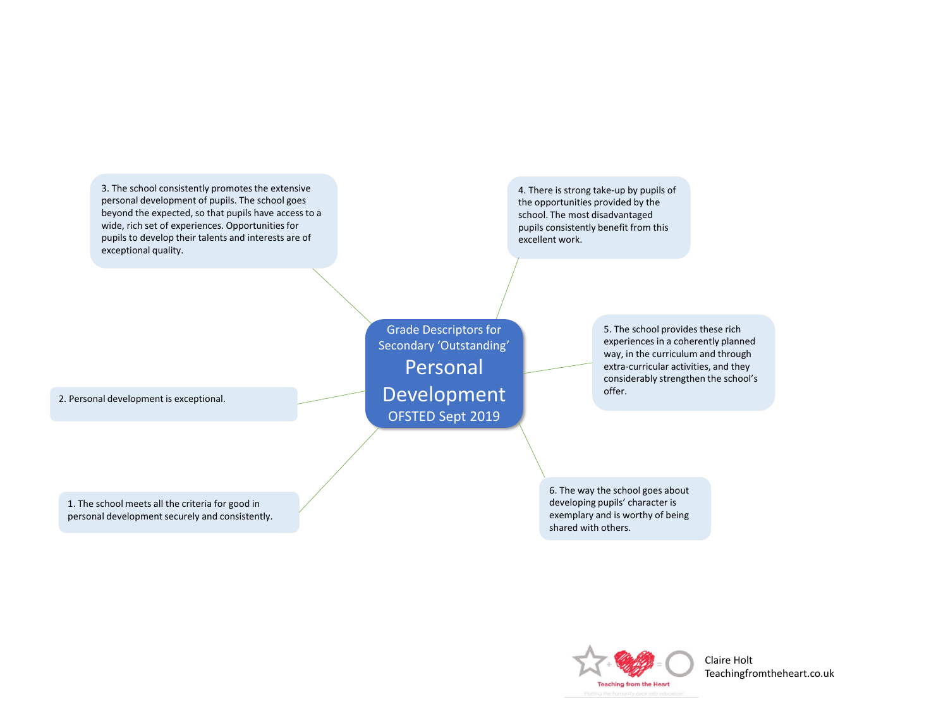3. The school consistently promotes the extensive personal development of pupils. The school goes beyond the expected, so that pupils have access to a wide, rich set of experiences. Opportunities for pupils to develop their talents and interests are of exceptional quality.

> Secondary 'Outstanding' Personal Development OFSTED Sept 2019

Grade Descriptors for

4. There is strong take-up by pupils of the opportunities provided by the school. The most disadvantaged pupils consistently benefit from this excellent work.

> 5. The school provides these rich experiences in a coherently planned way, in the curriculum and through extra-curricular activities, and they considerably strengthen the school's offer.

6. The way the school goes about developing pupils' character is exemplary and is worthy of being shared with others.

2. Personal development is exceptional.

1. The school meets all the criteria for good in personal development securely and consistently.

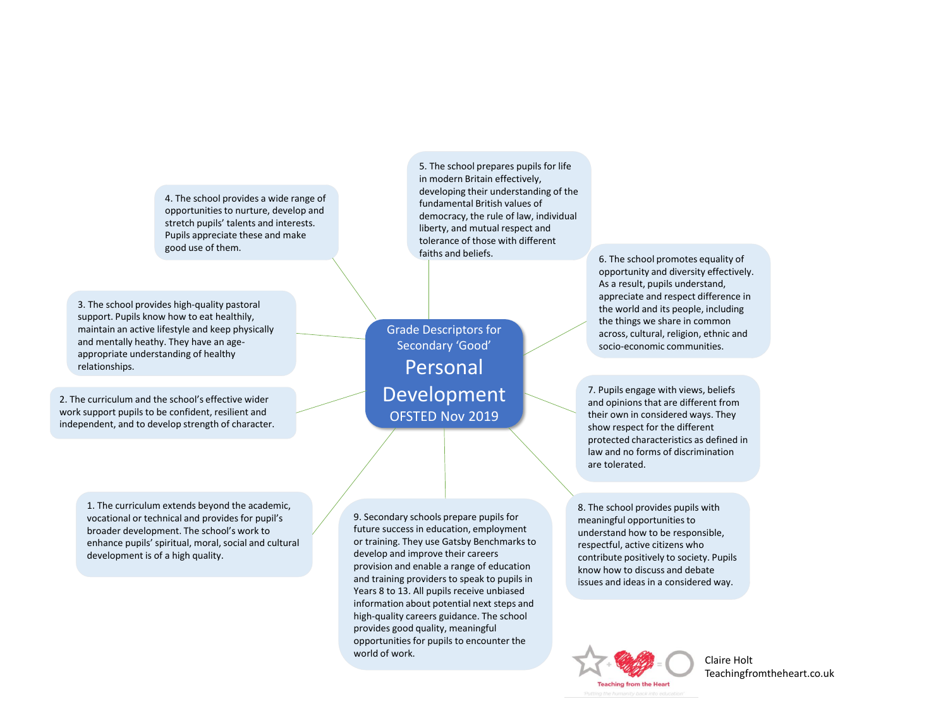4. The school provides a wide range of opportunities to nurture, develop and stretch pupils' talents and interests. Pupils appreciate these and make good use of them.

3. The school provides high-quality pastoral support. Pupils know how to eat healthily, maintain an active lifestyle and keep physically and mentally heathy. They have an ageappropriate understanding of healthy relationships.

2. The curriculum and the school's effective wider work support pupils to be confident, resilient and independent, and to develop strength of character. in modern Britain effectively, developing their understanding of the fundamental British values of democracy, the rule of law, individual liberty, and mutual respect and tolerance of those with different faiths and beliefs.

5. The school prepares pupils for life

Grade Descriptors for Secondary 'Good' Personal Development OFSTED Nov 2019

1. The curriculum extends beyond the academic, vocational or technical and provides for pupil's broader development. The school's work to enhance pupils' spiritual, moral, social and cultural development is of a high quality.

9. Secondary schools prepare pupils for future success in education, employment or training. They use Gatsby Benchmarks to develop and improve their careers provision and enable a range of education and training providers to speak to pupils in Years 8 to 13. All pupils receive unbiased information about potential next steps and high-quality careers guidance. The school provides good quality, meaningful opportunities for pupils to encounter the world of work.

6. The school promotes equality of opportunity and diversity effectively. As a result, pupils understand, appreciate and respect difference in the world and its people, including the things we share in common across, cultural, religion, ethnic and socio-economic communities.

7. Pupils engage with views, beliefs and opinions that are different from their own in considered ways. They show respect for the different protected characteristics as defined in law and no forms of discrimination are tolerated.

8. The school provides pupils with meaningful opportunities to understand how to be responsible, respectful, active citizens who contribute positively to society. Pupils know how to discuss and debate issues and ideas in a considered way.

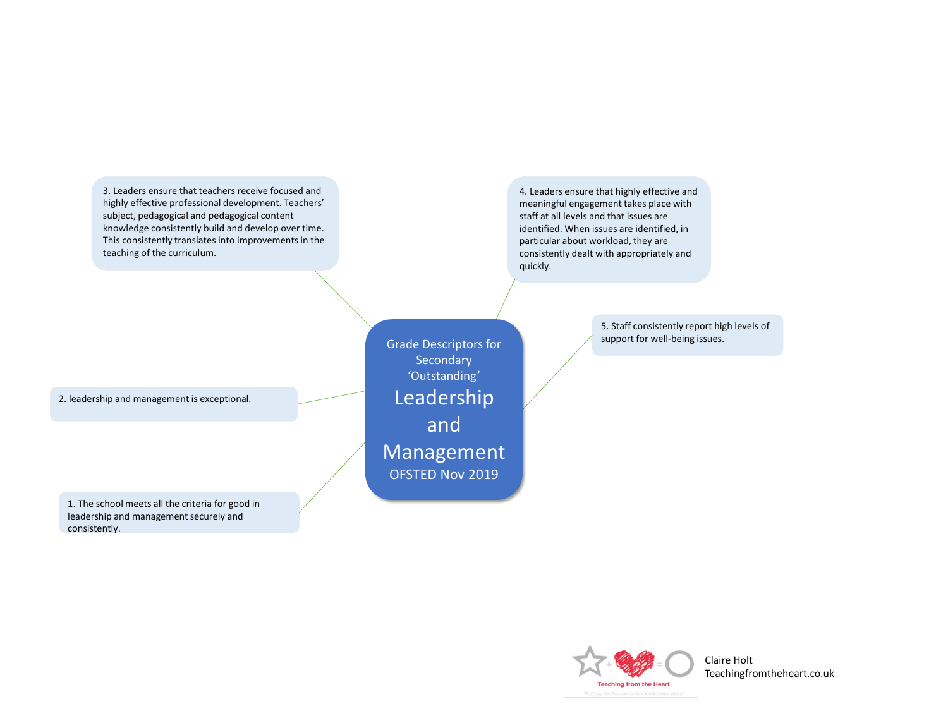3. Leaders ensure that teachers receive focused and highly effective professional development. Teachers' subject, pedagogical and pedagogical content knowledge consistently build and develop over time. This consistently translates into improvements in the teaching of the curriculum.

2. leadership and management is exceptional.

1. The school meets all the criteria for good in leadership and management securely and consistently.

Grade Descriptors for **Secondary** 'Outstanding' Leadership and Management OFSTED Nov 2019

4. Leaders ensure that highly effective and meaningful engagement takes place with staff at all levels and that issues are identified. When issues are identified, in particular about workload, they are consistently dealt with appropriately and quickly.

> 5. Staff consistently report high levels of support for well-being issues.